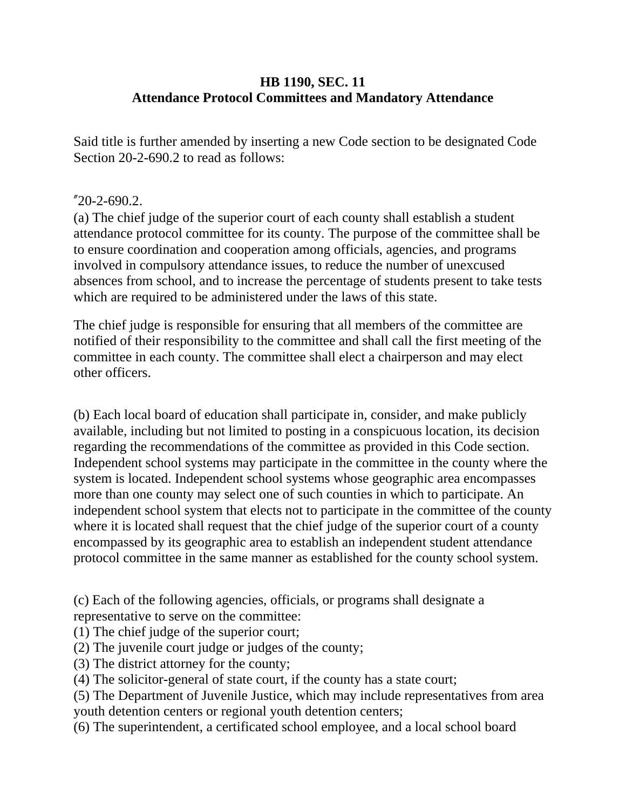## **HB 1190, SEC. 11 Attendance Protocol Committees and Mandatory Attendance**

Said title is further amended by inserting a new Code section to be designated Code Section 20-2-690.2 to read as follows:

### "20-2-690.2.

(a) The chief judge of the superior court of each county shall establish a student attendance protocol committee for its county. The purpose of the committee shall be to ensure coordination and cooperation among officials, agencies, and programs involved in compulsory attendance issues, to reduce the number of unexcused absences from school, and to increase the percentage of students present to take tests which are required to be administered under the laws of this state.

The chief judge is responsible for ensuring that all members of the committee are notified of their responsibility to the committee and shall call the first meeting of the committee in each county. The committee shall elect a chairperson and may elect other officers.

(b) Each local board of education shall participate in, consider, and make publicly available, including but not limited to posting in a conspicuous location, its decision regarding the recommendations of the committee as provided in this Code section. Independent school systems may participate in the committee in the county where the system is located. Independent school systems whose geographic area encompasses more than one county may select one of such counties in which to participate. An independent school system that elects not to participate in the committee of the county where it is located shall request that the chief judge of the superior court of a county encompassed by its geographic area to establish an independent student attendance protocol committee in the same manner as established for the county school system.

(c) Each of the following agencies, officials, or programs shall designate a representative to serve on the committee:

(1) The chief judge of the superior court;

(2) The juvenile court judge or judges of the county;

(3) The district attorney for the county;

(4) The solicitor-general of state court, if the county has a state court;

(5) The Department of Juvenile Justice, which may include representatives from area youth detention centers or regional youth detention centers;

(6) The superintendent, a certificated school employee, and a local school board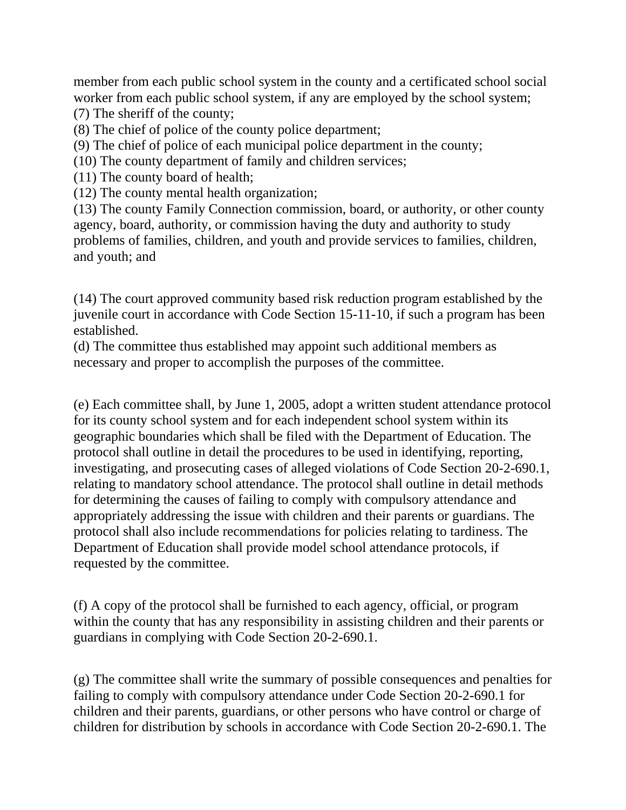member from each public school system in the county and a certificated school social worker from each public school system, if any are employed by the school system; (7) The sheriff of the county;

- (8) The chief of police of the county police department;
- (9) The chief of police of each municipal police department in the county;
- (10) The county department of family and children services;
- (11) The county board of health;
- (12) The county mental health organization;

(13) The county Family Connection commission, board, or authority, or other county agency, board, authority, or commission having the duty and authority to study problems of families, children, and youth and provide services to families, children, and youth; and

(14) The court approved community based risk reduction program established by the juvenile court in accordance with Code Section 15-11-10, if such a program has been established.

(d) The committee thus established may appoint such additional members as necessary and proper to accomplish the purposes of the committee.

(e) Each committee shall, by June 1, 2005, adopt a written student attendance protocol for its county school system and for each independent school system within its geographic boundaries which shall be filed with the Department of Education. The protocol shall outline in detail the procedures to be used in identifying, reporting, investigating, and prosecuting cases of alleged violations of Code Section 20-2-690.1, relating to mandatory school attendance. The protocol shall outline in detail methods for determining the causes of failing to comply with compulsory attendance and appropriately addressing the issue with children and their parents or guardians. The protocol shall also include recommendations for policies relating to tardiness. The Department of Education shall provide model school attendance protocols, if requested by the committee.

(f) A copy of the protocol shall be furnished to each agency, official, or program within the county that has any responsibility in assisting children and their parents or guardians in complying with Code Section 20-2-690.1.

(g) The committee shall write the summary of possible consequences and penalties for failing to comply with compulsory attendance under Code Section 20-2-690.1 for children and their parents, guardians, or other persons who have control or charge of children for distribution by schools in accordance with Code Section 20-2-690.1. The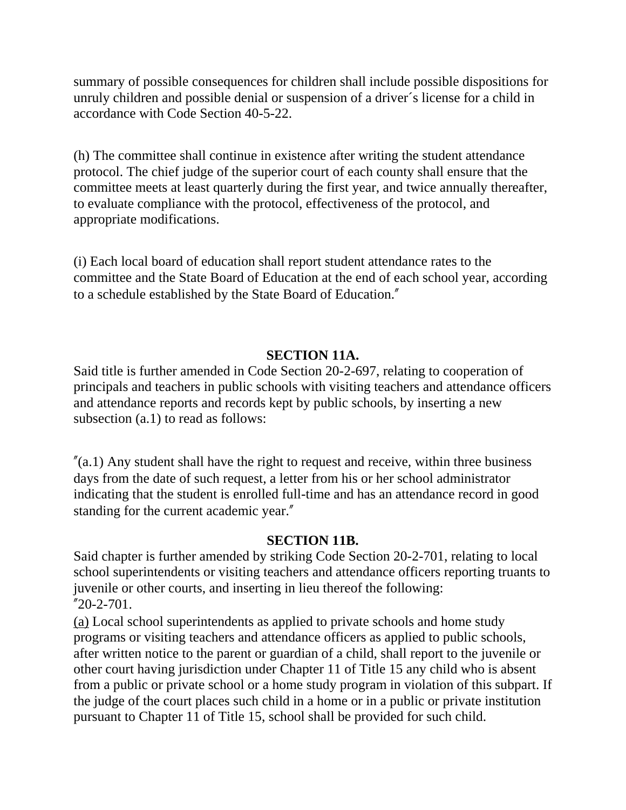summary of possible consequences for children shall include possible dispositions for unruly children and possible denial or suspension of a driver´s license for a child in accordance with Code Section 40-5-22.

(h) The committee shall continue in existence after writing the student attendance protocol. The chief judge of the superior court of each county shall ensure that the committee meets at least quarterly during the first year, and twice annually thereafter, to evaluate compliance with the protocol, effectiveness of the protocol, and appropriate modifications.

(i) Each local board of education shall report student attendance rates to the committee and the State Board of Education at the end of each school year, according to a schedule established by the State Board of Education."

#### **SECTION 11A.**

Said title is further amended in Code Section 20-2-697, relating to cooperation of principals and teachers in public schools with visiting teachers and attendance officers and attendance reports and records kept by public schools, by inserting a new subsection (a.1) to read as follows:

 $\gamma$ (a.1) Any student shall have the right to request and receive, within three business days from the date of such request, a letter from his or her school administrator indicating that the student is enrolled full-time and has an attendance record in good standing for the current academic year."

#### **SECTION 11B.**

Said chapter is further amended by striking Code Section 20-2-701, relating to local school superintendents or visiting teachers and attendance officers reporting truants to juvenile or other courts, and inserting in lieu thereof the following:  $"20-2-701.$ 

(a) Local school superintendents as applied to private schools and home study programs or visiting teachers and attendance officers as applied to public schools, after written notice to the parent or guardian of a child, shall report to the juvenile or other court having jurisdiction under Chapter 11 of Title 15 any child who is absent from a public or private school or a home study program in violation of this subpart. If the judge of the court places such child in a home or in a public or private institution pursuant to Chapter 11 of Title 15, school shall be provided for such child.